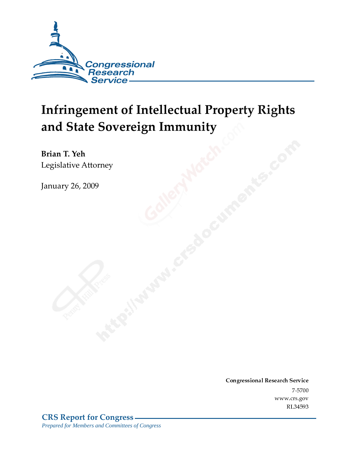

# Infringement of Intellectual Property Rights and State Sovereign Immunity

Brian T. Yeh Legislative Attorney

**January 26, 2009** 

Conglessional Research Service  $7 - 2700$ www.crs.gov RL34593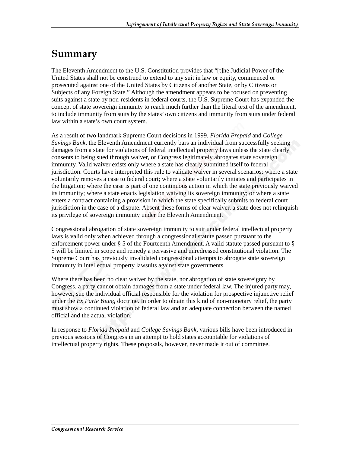## Summary

The Eleventh Amendment to the U.S. Constitution provides that "[t]he Judicial Power of the United States shall not be construed to extend to any suit in law or equity, commenced or prosecuted against one of the United States by Citizens of another State, or by Citizens or Subjects of any Foreign State." Although the amendment appears to be focused on preventing suits against a state by non-residents in federal courts, the U.S. Supreme Court has expanded the concept of state sovereign immunity to reach much further than the literal text of the amendment, to include immunity from suits by the states' own citizens and immunity from suits under federal law within a state's own court system.

As a result of two landmark Supreme Court decisions in 1999, *Florida Prepaid* and *College Savings Bank,* the Eleventh Amendment currently bars an individual from successfully seeking damages from a state for violations of federal intellectual property laws unless the state clearly consents to being sued through waiver, or Congress legitimately abrogates state sovereign immunity. Valid waiver exists only where a state has clearly submitted itself to federal jurisdiction. Courts have interpreted this rule to validate waiver in several scenarios: where a state voluntarily removes a case to federal court; where a state voluntarily initiates and participates in the litigation; where the case is part of one continuous action in which the state previously waived its immunity; where a state enacts legislation waiving its sovereign immunity; or where a state enters a contract containing a provision in which the state specifically submits to federal court jurisdiction in the case of a dispute. Absent these forms of clear waiver, a state does not relinquish its privilege of sovereign immunity under the Eleventh Amendment.

Congressional abrogation of state sovereign immunity to suit under federal intellectual property laws is valid only when achieved through a congressional statute passed pursuant to the enforcement power under § 5 of the Fourteenth Amendment. A valid statute passed pursuant to § 5 will be limited in scope and remedy a pervasive and unredressed constitutional violation. The Supreme Court has previously invalidated congressional attempts to abrogate state sovereign immunity in intellectual property lawsuits against state governments.

Where there has been no clear waiver by the state, nor abrogation of state sovereignty by Congress, a party cannot obtain damages from a state under federal law. The injured party may, however, sue the individual official responsible for the violation for prospective injunctive relief under the *Ex Parte Young* doctrine*.* In order to obtain this kind of non-monetary relief, the party must show a continued violation of federal law and an adequate connection between the named official and the actual violation.

In response to *Florida Prepaid* and *College Savings Bank,* various bills have been introduced in previous sessions of Congress in an attempt to hold states accountable for violations of intellectual property rights. These proposals, however, never made it out of committee.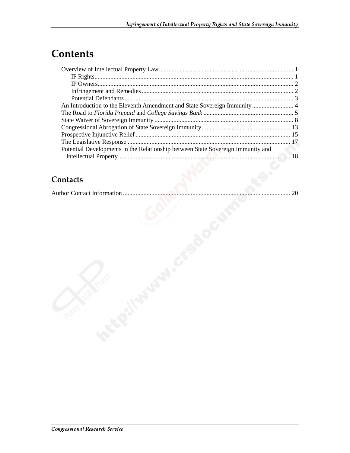## **Contents**

| Potential Developments in the Relationship between State Sovereign Immunity and |  |
|---------------------------------------------------------------------------------|--|
|                                                                                 |  |
|                                                                                 |  |

#### Contacts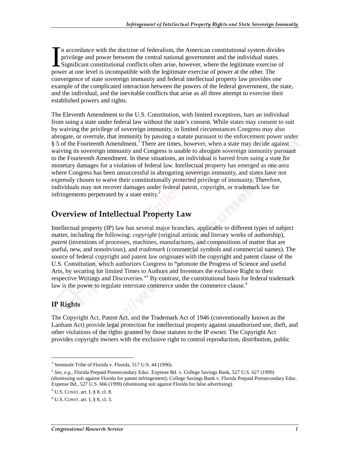n accordance with the doctrine of federalism, the American constitutional system divides privilege and power between the central national government and the individual states. Significant constitutional conflicts often arise, however, where the legitimate exercise of In accordance with the doctrine of federalism, the American constitutional system divi-<br>privilege and power between the central national government and the individual states<br>Significant constitutional conflicts often arise convergence of state sovereign immunity and federal intellectual property law provides one example of the complicated interaction between the powers of the federal government, the state, and the individual, and the inevitable conflicts that arise as all three attempt to exercise their established powers and rights.

The Eleventh Amendment to the U.S. Constitution, with limited exceptions, bars an individual from suing a state under federal law without the state's consent. While states may consent to suit by waiving the privilege of sovereign immunity, in limited circumstances Congress may also abrogate, or overrule, that immunity by passing a statute pursuant to the enforcement power under § 5 of the Fourteenth Amendment.<sup>1</sup> There are times, however, when a state may decide against waiving its sovereign immunity and Congress is unable to abrogate sovereign immunity pursuant to the Fourteenth Amendment. In these situations, an individual is barred from suing a state for monetary damages for a violation of federal law. Intellectual property has emerged as one area where Congress has been unsuccessful in abrogating sovereign immunity, and states have not expressly chosen to waive their constitutionally protected privilege of immunity. Therefore, individuals may not recover damages under federal patent, copyright, or trademark law for infringements perpetrated by a state entity. $2^2$ 

#### **Overview of Intellectual Property Law**

Intellectual property (IP) law has several major branches, applicable to different types of subject matter, including the following: *copyright* (original artistic and literary works of authorship), *patent* (inventions of processes, machines, manufactures, and compositions of matter that are useful, new, and nonobvious), and *trademark* (commercial symbols and commercial names). The source of federal copyright and patent law originates with the copyright and patent clause of the U.S. Constitution, which authorizes Congress to "promote the Progress of Science and useful Arts, by securing for limited Times to Authors and Inventors the exclusive Right to their respective Writings and Discoveries."<sup>3</sup> By contrast, the constitutional basis for federal trademark law is the power to regulate interstate commerce under the commerce clause.<sup>4</sup>

#### IP Rights

 $\overline{a}$ 

The Copyright Act, Patent Act, and the Trademark Act of 1946 (conventionally known as the Lanham Act) provide legal protection for intellectual property against unauthorized use, theft, and other violations of the rights granted by those statutes to the IP owner. The Copyright Act provides copyright owners with the exclusive right to control reproduction, distribution, public

<sup>&</sup>lt;sup>1</sup> Seminole Tribe of Florida v. Florida, 517 U.S. 44 (1996).

<sup>2</sup> *See, e.g*., Florida Prepaid Postsecondary Educ. Expense Bd. v. College Savings Bank, 527 U.S. 627 (1999) (dismissing suit against Florida for patent infringement); College Savings Bank v. Florida Prepaid Postsecondary Educ. Expense Bd., 527 U.S. 666 (1999) (dismissing suit against Florida for false advertising).

<sup>3</sup> U.S. CONST. art. I, § 8, cl. 8.

 $^{4}$  U.S. CONST. art. I, § 8, cl. 3.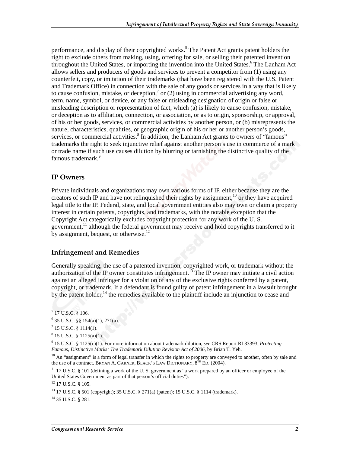performance, and display of their copyrighted works.<sup>5</sup> The Patent Act grants patent holders the right to exclude others from making, using, offering for sale, or selling their patented invention throughout the United States, or importing the invention into the United States.<sup>6</sup> The Lanham Act allows sellers and producers of goods and services to prevent a competitor from (1) using any counterfeit, copy, or imitation of their trademarks (that have been registered with the U.S. Patent and Trademark Office) in connection with the sale of any goods or services in a way that is likely to cause confusion, mistake, or deception,  $\sigma$  or (2) using in commercial advertising any word, term, name, symbol, or device, or any false or misleading designation of origin or false or misleading description or representation of fact, which (a) is likely to cause confusion, mistake, or deception as to affiliation, connection, or association, or as to origin, sponsorship, or approval, of his or her goods, services, or commercial activities by another person, or (b) misrepresents the nature, characteristics, qualities, or geographic origin of his or her or another person's goods, services, or commercial activities.<sup>8</sup> In addition, the Lanham Act grants to owners of "famous" trademarks the right to seek injunctive relief against another person's use in commerce of a mark or trade name if such use causes dilution by blurring or tarnishing the distinctive quality of the famous trademark.<sup>9</sup>

#### IP Owners

Private individuals and organizations may own various forms of IP, either because they are the creators of such IP and have not relinquished their rights by assignment,<sup>10</sup> or they have acquired legal title to the IP. Federal, state, and local government entities also may own or claim a property interest in certain patents, copyrights, and trademarks, with the notable exception that the Copyright Act categorically excludes copyright protection for any work of the U. S. government, $<sup>11</sup>$  although the federal government may receive and hold copyrights transferred to it</sup> by assignment, bequest, or otherwise.<sup>12</sup>

#### **Infringement and Remedies**

Generally speaking, the use of a patented invention, copyrighted work, or trademark without the authorization of the IP owner constitutes infringement.<sup>13</sup> The IP owner may initiate a civil action against an alleged infringer for a violation of any of the exclusive rights conferred by a patent, copyright, or trademark. If a defendant is found guilty of patent infringement in a lawsuit brought by the patent holder,  $14$  the remedies available to the plaintiff include an injunction to cease and

ł

 $^{14}$  35 U.S.C. § 281.

<sup>5</sup> 17 U.S.C. § 106.

 $6$  35 U.S.C. §§ 154(a)(1), 271(a).

 $^7$  15 U.S.C. § 1114(1).

 $8$  15 U.S.C.  $\S$  1125(a)(1).

<sup>9</sup> 15 U.S.C. § 1125(c)(1). For more information about trademark dilution, *see* CRS Report RL33393, *Protecting Famous, Distinctive Marks: The Trademark Dilution Revision Act of 2006*, by Brian T. Yeh.

 $10$  An "assignment" is a form of legal transfer in which the rights to property are conveved to another, often by sale and the use of a contract. BRYAN A. GARNER, BLACK'S LAW DICTIONARY,  $8^{TH}$  ED. (2004).

 $11$  17 U.S.C. § 101 (defining a work of the U.S. government as "a work prepared by an officer or employee of the United States Government as part of that person's official duties").

<sup>12 17</sup> U.S.C. § 105.

<sup>13 17</sup> U.S.C. § 501 (copyright); 35 U.S.C. § 271(a) (patent); 15 U.S.C. § 1114 (trademark).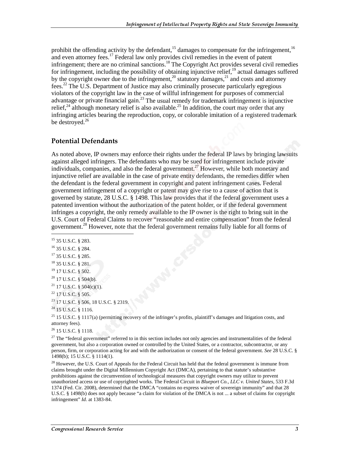prohibit the offending activity by the defendant,<sup>15</sup> damages to compensate for the infringement,<sup>16</sup> and even attorney fees.<sup>17</sup> Federal law only provides civil remedies in the event of patent infringement; there are no criminal sanctions.<sup>18</sup> The Copyright Act provides several civil remedies for infringement, including the possibility of obtaining injunctive relief, $19$  actual damages suffered by the copyright owner due to the infringement,<sup>20</sup> statutory damages,<sup>21</sup> and costs and attorney fees.22 The U.S. Department of Justice may also criminally prosecute particularly egregious violators of the copyright law in the case of willful infringement for purposes of commercial advantage or private financial gain.<sup>23</sup> The usual remedy for trademark infringement is injunctive relief,<sup>24</sup> although monetary relief is also available.<sup>25</sup> In addition, the court may order that any infringing articles bearing the reproduction, copy, or colorable imitation of a registered trademark be destroyed. $26$ 

#### Potential Defendants

As noted above, IP owners may enforce their rights under the federal IP laws by bringing lawsuits against alleged infringers. The defendants who may be sued for infringement include private individuals, companies, and also the federal government.<sup>27</sup> However, while both monetary and injunctive relief are available in the case of private entity defendants, the remedies differ when the defendant is the federal government in copyright and patent infringement cases. Federal government infringement of a copyright or patent may give rise to a cause of action that is governed by statute, 28 U.S.C. § 1498. This law provides that if the federal government uses a patented invention without the authorization of the patent holder, or if the federal government infringes a copyright, the only remedy available to the IP owner is the right to bring suit in the U.S. Court of Federal Claims to recover "reasonable and entire compensation" from the federal government.<sup>28</sup> However, note that the federal government remains fully liable for all forms of

j

- 18 35 U.S.C. § 281.
- <sup>19</sup> 17 U.S.C. § 502.
- $20$  17 U.S.C. § 504(b).
- $21$  17 U.S.C. § 504(c)(1).
- 22 17 U.S.C. § 505.
- 23 17 U.S.C. § 506, 18 U.S.C. § 2319.
- <sup>24</sup> 15 U.S.C. § 1116.

 $25$  15 U.S.C. § 1117(a) (permitting recovery of the infringer's profits, plaintiff's damages and litigation costs, and attorney fees).

26 15 U.S.C. § 1118.

 $27$  The "federal government" referred to in this section includes not only agencies and instrumentalities of the federal government, but also a corporation owned or controlled by the United States, or a contractor, subcontractor, or any person, firm, or corporation acting for and with the authorization or consent of the federal government. *See* 28 U.S.C. § 1498(b); 15 U.S.C. § 1114(1).

 $^{28}$  However, the U.S. Court of Appeals for the Federal Circuit has held that the federal government is immune from claims brought under the Digital Millennium Copyright Act (DMCA), pertaining to that statute's substantive prohibitions against the circumvention of technological measures that copyright owners may utilize to prevent unauthorized access or use of copyrighted works. The Federal Circuit in *Blueport Co., LLC v. United States,* 533 F.3d 1374 (Fed. Cir. 2008), determined that the DMCA "contains no express waiver of sovereign immunity" and that 28 U.S.C. § 1498(b) does not apply because "a claim for violation of the DMCA is not ... a subset of claims for copyright infringement" *Id.* at 1383-84.

<sup>15 35</sup> U.S.C. § 283.

<sup>16 35</sup> U.S.C. § 284.

<sup>&</sup>lt;sup>17</sup> 35 U.S.C. § 285.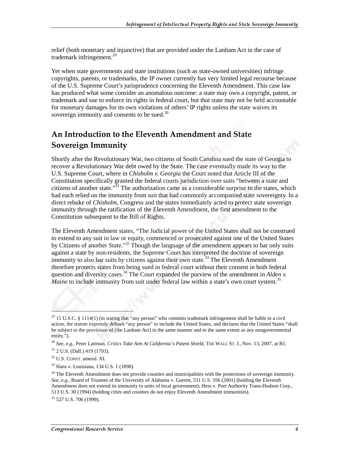relief (both monetary and injunctive) that are provided under the Lanham Act in the case of trademark infringement.<sup>29</sup>

Yet when state governments and state institutions (such as state-owned universities) infringe copyrights, patents, or trademarks, the IP owner currently has very limited legal recourse because of the U.S. Supreme Court's jurisprudence concerning the Eleventh Amendment. This case law has produced what some consider an anomalous outcome: a state may own a copyright, patent, or trademark and sue to enforce its rights in federal court, but that state may not be held accountable for monetary damages for its own violations of others' IP rights unless the state waives its sovereign immunity and consents to be sued.<sup>30</sup>

## An Introduction to the Eleventh Amendment and State Sovereign Immunity

Shortly after the Revolutionary War, two citizens of South Carolina sued the state of Georgia to recover a Revolutionary War debt owed by the State. The case eventually made its way to the U.S. Supreme Court, where in *Chisholm v. Georgia* the Court noted that Article III of the Constitution specifically granted the federal courts jurisdiction over suits "between a state and citizens of another state. $\mathbb{R}^{31}$  The authorization came as a considerable surprise to the states, which had each relied on the immunity from suit that had commonly accompanied state sovereignty. In a direct rebuke of *Chisholm*, Congress and the states immediately acted to protect state sovereign immunity through the ratification of the Eleventh Amendment, the first amendment to the Constitution subsequent to the Bill of Rights.

The Eleventh Amendment states, "The Judicial power of the United States shall not be construed to extend to any suit in law or equity, commenced or prosecuted against one of the United States by Citizens of another State."<sup>32</sup> Though the language of the amendment appears to bar only suits against a state by non-residents, the Supreme Court has interpreted the doctrine of sovereign immunity to also bar suits by citizens against their own state.<sup>33</sup> The Eleventh Amendment therefore protects states from being sued in federal court without their consent in both federal question and diversity cases.<sup>34</sup> The Court expanded the purview of the amendment in *Alden v. Maine* to include immunity from suit under federal law within a state's own court system.<sup>35</sup>

 $29$  15 U.S.C. § 1114(1) (in stating that "any person" who commits trademark infringement shall be liable in a civil action, the statute expressly defines "any person" to include the United States, and declares that the United States "shall be subject to the provisions of [the Lanham Act] in the same manner and to the same extent as any nongovernmental entity.").

<sup>30</sup> *See, e.g.,* Peter Lattman, *Critics Take Aim At California's Patent Shield*, THE WALL ST. J., Nov. 13, 2007, at B1.

<sup>31 2</sup> U.S. (Dall.) 419 (1793).

<sup>32</sup> U.S. CONST. amend. XI.

<sup>33</sup> Hans v. Louisiana, 134 U.S. 1 (1890).

<sup>&</sup>lt;sup>34</sup> The Eleventh Amendment does not provide counties and municipalities with the protections of sovereign immunity. *See, e.g.,* Board of Trustees of the University of Alabama v. Garrett, 531 U.S. 356 (2001) (holding the Eleventh Amendment does not extend its immunity to units of local government); Hess v. Port Authority Trans-Hudson Corp., 513 U.S. 30 (1994) (holding cities and counties do not enjoy Eleventh Amendment immunities).

<sup>35 527</sup> U.S. 706 (1999).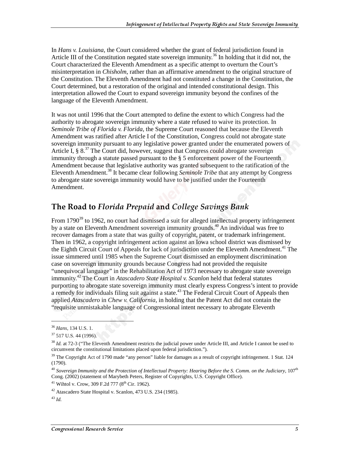In *Hans v. Louisiana*, the Court considered whether the grant of federal jurisdiction found in Article III of the Constitution negated state sovereign immunity.<sup>36</sup> In holding that it did not, the Court characterized the Eleventh Amendment as a specific attempt to overturn the Court's misinterpretation in *Chisholm*, rather than an affirmative amendment to the original structure of the Constitution. The Eleventh Amendment had not constituted a change in the Constitution, the Court determined, but a restoration of the original and intended constitutional design. This interpretation allowed the Court to expand sovereign immunity beyond the confines of the language of the Eleventh Amendment.

It was not until 1996 that the Court attempted to define the extent to which Congress had the authority to abrogate sovereign immunity where a state refused to waive its protection. In *Seminole Tribe of Florida v. Florida,* the Supreme Court reasoned that because the Eleventh Amendment was ratified after Article I of the Constitution, Congress could not abrogate state sovereign immunity pursuant to any legislative power granted under the enumerated powers of Article I,  $\S 8^{37}$  The Court did, however, suggest that Congress could abrogate sovereign immunity through a statute passed pursuant to the § 5 enforcement power of the Fourteenth Amendment because that legislative authority was granted subsequent to the ratification of the Eleventh Amendment.<sup>38</sup> It became clear following *Seminole Tribe* that any attempt by Congress to abrogate state sovereign immunity would have to be justified under the Fourteenth Amendment.

## The Road to Florida Prepaid and College Savings Bank

From 1790<sup>39</sup> to 1962, no court had dismissed a suit for alleged intellectual property infringement by a state on Eleventh Amendment sovereign immunity grounds.<sup>40</sup> An individual was free to recover damages from a state that was guilty of copyright, patent, or trademark infringement. Then in 1962, a copyright infringement action against an Iowa school district was dismissed by the Eighth Circuit Court of Appeals for lack of jurisdiction under the Eleventh Amendment.<sup>41</sup> The issue simmered until 1985 when the Supreme Court dismissed an employment discrimination case on sovereign immunity grounds because Congress had not provided the requisite "unequivocal language" in the Rehabilitation Act of 1973 necessary to abrogate state sovereign immunity.42 The Court in *Atascadero State Hospital v. Scanlon* held that federal statutes purporting to abrogate state sovereign immunity must clearly express Congress's intent to provide a remedy for individuals filing suit against a state.<sup>43</sup> The Federal Circuit Court of Appeals then applied *Atascadero* in *Chew v. California*, in holding that the Patent Act did not contain the "requisite unmistakable language of Congressional intent necessary to abrogate Eleventh

<sup>38</sup> *Id.* at 72-3 ("The Eleventh Amendment restricts the judicial power under Article III, and Article I cannot be used to circumvent the constitutional limitations placed upon federal jurisdiction.").

<sup>36</sup> *Hans,* 134 U.S. 1.

<sup>37 517</sup> U.S. 44 (1996).

<sup>&</sup>lt;sup>39</sup> The Copyright Act of 1790 made "any person" liable for damages as a result of copyright infringement. 1 Stat. 124 (1790).

<sup>40</sup> *Sovereign Immunity and the Protection of Intellectual Property: Hearing Before the S. Comm. on the Judiciary,* 107th Cong. (2002) (statement of Marybeth Peters, Register of Copyrights, U.S. Copyright Office).

<sup>&</sup>lt;sup>41</sup> Wihtol v. Crow, 309 F.2d 777 ( $8<sup>th</sup>$  Cir. 1962).

<sup>42</sup> Atascadero State Hospital v. Scanlon, 473 U.S. 234 (1985).

<sup>43</sup> *Id.*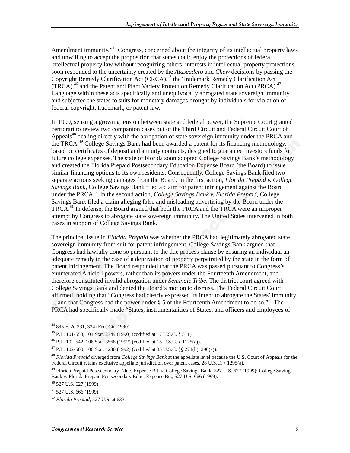Amendment immunity.<sup>44</sup> Congress, concerned about the integrity of its intellectual property laws and unwilling to accept the proposition that states could enjoy the protections of federal intellectual property law without recognizing others' interests in intellectual property protections, soon responded to the uncertainty created by the *Atascadero* and *Chew* decisions by passing the Copyright Remedy Clarification Act (CRCA),<sup>45</sup> the Trademark Remedy Clarification Act  $(TRCA)$ ,<sup>46</sup> and the Patent and Plant Variety Protection Remedy Clarification Act (PRCA).<sup>47</sup> Language within these acts specifically and unequivocally abrogated state sovereign immunity and subjected the states to suits for monetary damages brought by individuals for violation of federal copyright, trademark, or patent law.

In 1999, sensing a growing tension between state and federal power, the Supreme Court granted certiorari to review two companion cases out of the Third Circuit and Federal Circuit Court of Appeals<sup>48</sup> dealing directly with the abrogation of state sovereign immunity under the PRCA and the TRCA.49 College Savings Bank had been awarded a patent for its financing methodology, based on certificates of deposit and annuity contracts, designed to guarantee investors funds for future college expenses. The state of Florida soon adopted College Savings Bank's methodology and created the Florida Prepaid Postsecondary Education Expense Board (the Board) to issue similar financing options to its own residents. Consequently, College Savings Bank filed two separate actions seeking damages from the Board. In the first action, *Florida Prepaid v. College Savings Bank*, College Savings Bank filed a claim for patent infringement against the Board under the PRCA.<sup>50</sup> In the second action, *College Savings Bank v. Florida Prepaid*, College Savings Bank filed a claim alleging false and misleading advertising by the Board under the TRCA.51 In defense, the Board argued that both the PRCA and the TRCA were an improper attempt by Congress to abrogate state sovereign immunity. The United States intervened in both cases in support of College Savings Bank.

The principal issue in *Florida Prepaid* was whether the PRCA had legitimately abrogated state sovereign immunity from suit for patent infringement. College Savings Bank argued that Congress had lawfully done so pursuant to the due process clause by ensuring an individual an adequate remedy in the case of a deprivation of property perpetrated by the state in the form of patent infringement. The Board responded that the PRCA was passed pursuant to Congress's enumerated Article I powers, rather than its powers under the Fourteenth Amendment, and therefore constituted invalid abrogation under *Seminole Tribe*. The district court agreed with College Savings Bank and denied the Board's motion to dismiss. The Federal Circuit Court affirmed, holding that "Congress had clearly expressed its intent to abrogate the States' immunity ... and that Congress had the power under  $\S$  5 of the Fourteenth Amendment to do so."<sup>52</sup> The PRCA had specifically made "States, instrumentalities of States, and officers and employees of

<sup>44 893</sup> F. 2d 331, 334 (Fed. Cir. 1990).

<sup>45</sup> P.L. 101-553, 104 Stat. 2749 (1990) (codified at 17 U.S.C. § 511).

<sup>46</sup> P.L. 102-542, 106 Stat. 3568 (1992) (codified at 15 U.S.C. § 1125(a)).

<sup>47</sup> P.L. 102-560, 106 Stat. 4230 (1992) (codified at 35 U.S.C. §§ 271(h), 296(a)).

<sup>48</sup> *Florida Prepaid* diverged from *College Savings Bank* at the appellate level because the U.S. Court of Appeals for the Federal Circuit retains exclusive appellate jurisdiction over patent cases. 28 U.S.C. § 1295(a).

<sup>&</sup>lt;sup>49</sup> Florida Prepaid Postsecondary Educ. Expense Bd. v. College Savings Bank, 527 U.S. 627 (1999); College Savings Bank v. Florida Prepaid Postsecondary Educ. Expense Bd., 527 U.S. 666 (1999).

<sup>50 527</sup> U.S. 627 (1999).

 $51$  527 U.S. 666 (1999).

<sup>52</sup> *Florida Prepaid*, 527 U.S. at 633.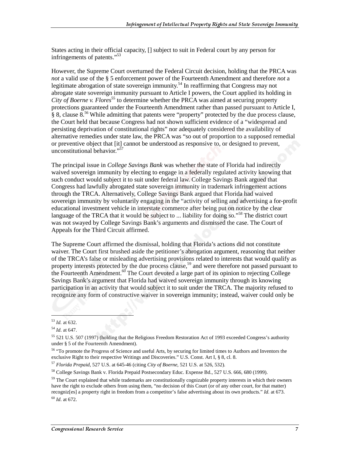States acting in their official capacity, [] subject to suit in Federal court by any person for infringements of patents."53

However, the Supreme Court overturned the Federal Circuit decision, holding that the PRCA was *not* a valid use of the § 5 enforcement power of the Fourteenth Amendment and therefore *not* a legitimate abrogation of state sovereign immunity.<sup>54</sup> In reaffirming that Congress may not abrogate state sovereign immunity pursuant to Article I powers, the Court applied its holding in *City of Boerne v. Flores*<sup>55</sup> to determine whether the PRCA was aimed at securing property protections guaranteed under the Fourteenth Amendment rather than passed pursuant to Article I,  $\S$  8, clause  $8^{56}$  While admitting that patents were "property" protected by the due process clause, the Court held that because Congress had not shown sufficient evidence of a "widespread and persisting deprivation of constitutional rights" nor adequately considered the availability of alternative remedies under state law, the PRCA was "so out of proportion to a supposed remedial or preventive object that [it] cannot be understood as responsive to, or designed to prevent, unconstitutional behavior."57

The principal issue in *College Savings Bank* was whether the state of Florida had indirectly waived sovereign immunity by electing to engage in a federally regulated activity knowing that such conduct would subject it to suit under federal law. College Savings Bank argued that Congress had lawfully abrogated state sovereign immunity in trademark infringement actions through the TRCA. Alternatively, College Savings Bank argued that Florida had waived sovereign immunity by voluntarily engaging in the "activity of selling and advertising a for-profit educational investment vehicle in interstate commerce after being put on notice by the clear language of the TRCA that it would be subject to ... liability for doing so."<sup>58</sup> The district court was not swayed by College Savings Bank's arguments and dismissed the case. The Court of Appeals for the Third Circuit affirmed.

The Supreme Court affirmed the dismissal, holding that Florida's actions did not constitute waiver. The Court first brushed aside the petitioner's abrogation argument, reasoning that neither of the TRCA's false or misleading advertising provisions related to interests that would qualify as property interests protected by the due process clause,<sup>59</sup> and were therefore not passed pursuant to the Fourteenth Amendment. $60$  The Court devoted a large part of its opinion to rejecting College Savings Bank's argument that Florida had waived sovereign immunity through its knowing participation in an activity that would subject it to suit under the TRCA. The majority refused to recognize any form of constructive waiver in sovereign immunity; instead, waiver could only be

1

<sup>60</sup> *Id*. at 672.

<sup>53</sup> *Id.* at 632.

<sup>54</sup> *Id*. at 647.

<sup>55 521</sup> U.S. 507 (1997) (holding that the Religious Freedom Restoration Act of 1993 exceeded Congress's authority under § 5 of the Fourteenth Amendment).

<sup>56 &</sup>quot;To promote the Progress of Science and useful Arts, by securing for limited times to Authors and Inventors the exclusive Right to their respective Writings and Discoveries." U.S. Const. Art I, § 8, cl. 8.

<sup>57</sup> *Florida Prepaid*, 527 U.S. at 645-46 (citing *City of Boerne*, 521 U.S. at 526, 532).

<sup>58</sup> College Savings Bank v. Florida Prepaid Postsecondary Educ. Expense Bd., 527 U.S. 666, 680 (1999).

 $59$  The Court explained that while trademarks are constitutionally cognizable property interests in which their owners have the right to exclude others from using them, "no decision of this Court (or of any other court, for that matter) recogniz[es] a property right in freedom from a competitor's false advertising about its own products." *Id.* at 673.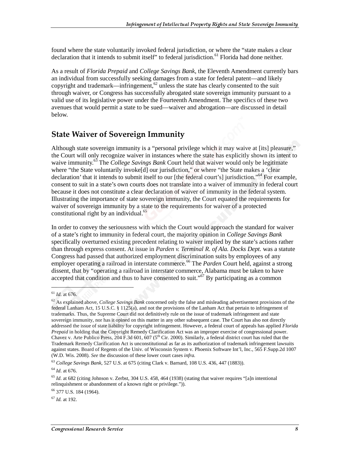found where the state voluntarily invoked federal jurisdiction, or where the "state makes a clear declaration that it intends to submit itself" to federal jurisdiction.<sup>61</sup> Florida had done neither.

As a result of *Florida Prepaid* and *College Savings Bank*, the Eleventh Amendment currently bars an individual from successfully seeking damages from a state for federal patent—and likely copyright and trademark—infringement,<sup>62</sup> unless the state has clearly consented to the suit through waiver, or Congress has successfully abrogated state sovereign immunity pursuant to a valid use of its legislative power under the Fourteenth Amendment. The specifics of these two avenues that would permit a state to be sued—waiver and abrogation—are discussed in detail below.

#### **State Waiver of Sovereign Immunity**

Although state sovereign immunity is a "personal privilege which it may waive at [its] pleasure," the Court will only recognize waiver in instances where the state has explicitly shown its intent to waive immunity.<sup>63</sup> The *College Savings Bank* Court held that waiver would only be legitimate where "the State voluntarily invoke[d] our jurisdiction," or where "the State makes a 'clear declaration' that it intends to submit itself to our [the federal court's] jurisdiction."<sup>64</sup> For example, consent to suit in a state's own courts does not translate into a waiver of immunity in federal court because it does not constitute a clear declaration of waiver of immunity in the federal system. Illustrating the importance of state sovereign immunity, the Court equated the requirements for waiver of sovereign immunity by a state to the requirements for waiver of a protected constitutional right by an individual.<sup>65</sup>

In order to convey the seriousness with which the Court would approach the standard for waiver of a state's right to immunity in federal court, the majority opinion in *College Savings Bank* specifically overturned existing precedent relating to waiver implied by the state's actions rather than through express consent. At issue in *Parden v. Terminal R. of Ala. Docks Dept.* was a statute Congress had passed that authorized employment discrimination suits by employees of any employer operating a railroad in interstate commerce.<sup>66</sup> The *Parden* Court held, against a strong dissent, that by "operating a railroad in interstate commerce, Alabama must be taken to have accepted that condition and thus to have consented to suit." $\frac{67}{9}$  By participating as a common

<sup>61</sup> *Id*. at 676.

<sup>62</sup> As explained above, *College Savings Bank* concerned only the false and misleading advertisement provisions of the federal Lanham Act, 15 U.S.C. § 1125(a), and not the provisions of the Lanham Act that pertain to infringement of trademarks. Thus, the Supreme Court did not definitively rule on the issue of trademark infringement and state sovereign immunity, nor has it opined on this matter in any other subsequent case. The Court has also not directly addressed the issue of state liability for copyright infringement. However, a federal court of appeals has applied *Florida Prepaid* in holding that the Copyright Remedy Clarification Act was an improper exercise of congressional power. Chavez v. Arte Publico Press, 204 F.3d 601, 607 ( $5<sup>th</sup>$  Cir. 2000). Similarly, a federal district court has ruled that the Trademark Remedy Clarification Act is unconstitutional as far as its authorization of trademark infringement lawsuits against states. Board of Regents of the Univ. of Wisconsin System v. Phoenix Software Int'l, Inc., 565 F.Supp.2d 1007 (W.D. Wis. 2008). *See* the discussion of these lower court cases *infra.*

<sup>63</sup> *College Savings Bank*, 527 U.S. at 675 (citing Clark v. Barnard, 108 U.S. 436, 447 (1883)).

<sup>64</sup> *Id*. at 676.

 $^{65}$  *Id.* at 682 (citing Johnson v. Zerbst, 304 U.S. 458, 464 (1938) (stating that waiver requires "[a]n intentional relinquishment or abandonment of a known right or privilege.")).

<sup>66 377</sup> U.S. 184 (1964).

<sup>67</sup> *Id.* at 192.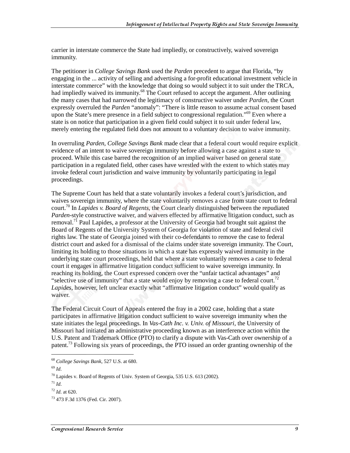carrier in interstate commerce the State had impliedly, or constructively, waived sovereign immunity.

The petitioner in *College Savings Bank* used the *Parden* precedent to argue that Florida, "by engaging in the ... activity of selling and advertising a for-profit educational investment vehicle in interstate commerce" with the knowledge that doing so would subject it to suit under the TRCA, had impliedly waived its immunity.<sup>68</sup> The Court refused to accept the argument. After outlining the many cases that had narrowed the legitimacy of constructive waiver under *Parden*, the Court expressly overruled the *Parden* "anomaly": "There is little reason to assume actual consent based upon the State's mere presence in a field subject to congressional regulation."<sup>69</sup> Even where a state is on notice that participation in a given field could subject it to suit under federal law, merely entering the regulated field does not amount to a voluntary decision to waive immunity.

In overruling *Parden*, *College Savings Bank* made clear that a federal court would require explicit evidence of an intent to waive sovereign immunity before allowing a case against a state to proceed. While this case barred the recognition of an implied waiver based on general state participation in a regulated field, other cases have wrestled with the extent to which states may invoke federal court jurisdiction and waive immunity by voluntarily participating in legal proceedings.

The Supreme Court has held that a state voluntarily invokes a federal court's jurisdiction, and waives sovereign immunity, where the state voluntarily removes a case from state court to federal court.70 In *Lapides v. Board of Regents,* the Court clearly distinguished between the repudiated *Parden*-style constructive waiver, and waivers effected by affirmative litigation conduct, such as removal.<sup>71</sup> Paul Lapides, a professor at the University of Georgia had brought suit against the Board of Regents of the University System of Georgia for violation of state and federal civil rights law. The state of Georgia joined with their co-defendants to remove the case to federal district court and asked for a dismissal of the claims under state sovereign immunity. The Court, limiting its holding to those situations in which a state has expressly waived immunity in the underlying state court proceedings, held that where a state voluntarily removes a case to federal court it engages in affirmative litigation conduct sufficient to waive sovereign immunity. In reaching its holding, the Court expressed concern over the "unfair tactical advantages" and "selective use of immunity" that a state would enjoy by removing a case to federal court.<sup>72</sup> *Lapides*, however, left unclear exactly what "affirmative litigation conduct" would qualify as waiver.

The Federal Circuit Court of Appeals entered the fray in a 2002 case, holding that a state participates in affirmative litigation conduct sufficient to waive sovereign immunity when the state initiates the legal proceedings. In *Vas-Cath Inc. v. Univ. of Missouri*, the University of Missouri had initiated an administrative proceeding known as an interference action within the U.S. Patent and Trademark Office (PTO) to clarify a dispute with Vas-Cath over ownership of a patent.<sup>73</sup> Following six years of proceedings, the PTO issued an order granting ownership of the

<sup>68</sup> *College Savings Bank,* 527 U.S. at 680.

<sup>69</sup> *Id*.

 $^{70}$  Lapides v. Board of Regents of Univ. System of Georgia, 535 U.S. 613 (2002).

 $71$  *Id.* 

<sup>72</sup> *Id*. at 620.

<sup>73 473</sup> F.3d 1376 (Fed. Cir. 2007).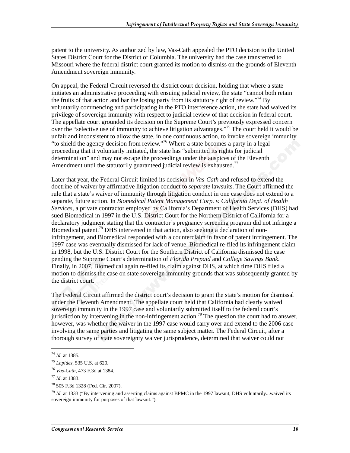patent to the university. As authorized by law, Vas-Cath appealed the PTO decision to the United States District Court for the District of Columbia. The university had the case transferred to Missouri where the federal district court granted its motion to dismiss on the grounds of Eleventh Amendment sovereign immunity.

On appeal, the Federal Circuit reversed the district court decision, holding that where a state initiates an administrative proceeding with ensuing judicial review, the state "cannot both retain the fruits of that action and bar the losing party from its statutory right of review."<sup>74</sup> By voluntarily commencing and participating in the PTO interference action, the state had waived its privilege of sovereign immunity with respect to judicial review of that decision in federal court. The appellate court grounded its decision on the Supreme Court's previously expressed concern over the "selective use of immunity to achieve litigation advantages."75 The court held it would be unfair and inconsistent to allow the state, in one continuous action, to invoke sovereign immunity "to shield the agency decision from review."76 Where a state becomes a party in a legal proceeding that it voluntarily initiated, the state has "submitted its rights for judicial determination" and may not escape the proceedings under the auspices of the Eleventh Amendment until the statutorily guaranteed judicial review is exhausted.<sup>77</sup>

Later that year, the Federal Circuit limited its decision in *Vas-Cath* and refused to extend the doctrine of waiver by affirmative litigation conduct to *separate* lawsuits. The Court affirmed the rule that a state's waiver of immunity through litigation conduct in one case does not extend to a separate, future action. In *Biomedical Patent Management Corp. v. California Dept. of Health Services,* a private contractor employed by California's Department of Health Services (DHS) had sued Biomedical in 1997 in the U.S. District Court for the Northern District of California for a declaratory judgment stating that the contractor's pregnancy screening program did not infringe a Biomedical patent.<sup>78</sup> DHS intervened in that action, also seeking a declaration of noninfringement, and Biomedical responded with a counterclaim in favor of patent infringement. The 1997 case was eventually dismissed for lack of venue. Biomedical re-filed its infringement claim in 1998, but the U.S. District Court for the Southern District of California dismissed the case pending the Supreme Court's determination of *Florida Prepaid* and *College Savings Bank*. Finally, in 2007, Biomedical again re-filed its claim against DHS, at which time DHS filed a motion to dismiss the case on state sovereign immunity grounds that was subsequently granted by the district court.

The Federal Circuit affirmed the district court's decision to grant the state's motion for dismissal under the Eleventh Amendment. The appellate court held that California had clearly waived sovereign immunity in the 1997 case and voluntarily submitted itself to the federal court's jurisdiction by intervening in the non-infringement action.<sup>79</sup> The question the court had to answer, however, was whether the waiver in the 1997 case would carry over and extend to the 2006 case involving the same parties and litigating the same subject matter. The Federal Circuit, after a thorough survey of state sovereignty waiver jurisprudence, determined that waiver could not

j

<sup>74</sup> *Id.* at 1385.

<sup>75</sup> *Lapides*, 535 U.S. at 620.

<sup>76</sup> *Vas-Cath*, 473 F.3d at 1384.

<sup>77</sup> *Id*. at 1383.

<sup>78 505</sup> F.3d 1328 (Fed. Cir. 2007).

<sup>79</sup> *Id.* at 1333 ("By intervening and asserting claims against BPMC in the 1997 lawsuit, DHS voluntarily...waived its sovereign immunity for purposes of that lawsuit.").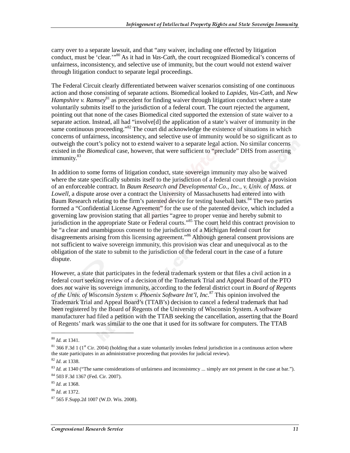carry over to a separate lawsuit, and that "any waiver, including one effected by litigation conduct, must be 'clear.'"80 As it had in *Vas-Cath*, the court recognized Biomedical's concerns of unfairness, inconsistency, and selective use of immunity, but the court would not extend waiver through litigation conduct to separate legal proceedings.

The Federal Circuit clearly differentiated between waiver scenarios consisting of one continuous action and those consisting of separate actions. Biomedical looked to *Lapides*, *Vas-Cath*, and *New Hampshire v. Ramsey*<sup>81</sup> as precedent for finding waiver through litigation conduct where a state voluntarily submits itself to the jurisdiction of a federal court. The court rejected the argument, pointing out that none of the cases Biomedical cited supported the extension of state waiver to a separate action. Instead, all had "involve[d] the application of a state's waiver of immunity in the same continuous proceeding."<sup>82</sup> The court did acknowledge the existence of situations in which concerns of unfairness, inconsistency, and selective use of immunity would be so significant as to outweigh the court's policy not to extend waiver to a separate legal action. No similar concerns existed in the *Biomedical* case, however, that were sufficient to "preclude" DHS from asserting immunity.<sup>83</sup>

In addition to some forms of litigation conduct, state sovereign immunity may also be waived where the state specifically submits itself to the jurisdiction of a federal court through a provision of an enforceable contract. In *Baum Research and Developmental Co., Inc., v. Univ. of Mass. at Lowell*, a dispute arose over a contract the University of Massachusetts had entered into with Baum Research relating to the firm's patented device for testing baseball bats.<sup>84</sup> The two parties formed a "Confidential License Agreement" for the use of the patented device, which included a governing law provision stating that all parties "agree to proper venue and hereby submit to jurisdiction in the appropriate State or Federal courts."<sup>85</sup> The court held this contract provision to be "a clear and unambiguous consent to the jurisdiction of a Michigan federal court for disagreements arising from this licensing agreement."<sup>86</sup> Although general consent provisions are not sufficient to waive sovereign immunity, this provision was clear and unequivocal as to the obligation of the state to submit to the jurisdiction of the federal court in the case of a future dispute.

However, a state that participates in the federal trademark system or that files a civil action in a federal court seeking review of a decision of the Trademark Trial and Appeal Board of the PTO does *not* waive its sovereign immunity, according to the federal district court in *Board of Regents of the Univ. of Wisconsin System v. Phoenix Software Int'l, Inc.*87 This opinion involved the Trademark Trial and Appeal Board's (TTAB's) decision to cancel a federal trademark that had been registered by the Board of Regents of the University of Wisconsin System. A software manufacturer had filed a petition with the TTAB seeking the cancellation, asserting that the Board of Regents' mark was similar to the one that it used for its software for computers. The TTAB

<sup>80</sup> *Id.* at 1341.

 $81$  366 F.3d 1 ( $1$ <sup>st</sup> Cir. 2004) (holding that a state voluntarily invokes federal jurisdiction in a continuous action where the state participates in an administrative proceeding that provides for judicial review).

<sup>82</sup> *Id*. at 1338.

<sup>&</sup>lt;sup>83</sup> *Id.* at 1340 ("The same considerations of unfairness and inconsistency ... simply are not present in the case at bar."). 84 503 F.3d 1367 (Fed. Cir. 2007).

<sup>85</sup> *Id*. at 1368.

<sup>86</sup> *Id*. at 1372.

<sup>87 565</sup> F.Supp.2d 1007 (W.D. Wis. 2008).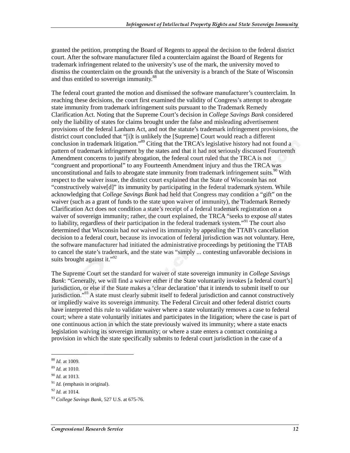granted the petition, prompting the Board of Regents to appeal the decision to the federal district court. After the software manufacturer filed a counterclaim against the Board of Regents for trademark infringement related to the university's use of the mark, the university moved to dismiss the counterclaim on the grounds that the university is a branch of the State of Wisconsin and thus entitled to sovereign immunity.<sup>88</sup>

The federal court granted the motion and dismissed the software manufacturer's counterclaim. In reaching these decisions, the court first examined the validity of Congress's attempt to abrogate state immunity from trademark infringement suits pursuant to the Trademark Remedy Clarification Act. Noting that the Supreme Court's decision in *College Savings Bank* considered only the liability of states for claims brought under the false and misleading advertisement provisions of the federal Lanham Act, and not the statute's trademark infringement provisions, the district court concluded that "[i]t is unlikely the [Supreme] Court would reach a different conclusion in trademark litigation."89 Citing that the TRCA's legislative history had not found a pattern of trademark infringement by the states and that it had not seriously discussed Fourteenth Amendment concerns to justify abrogation, the federal court ruled that the TRCA is not "congruent and proportional" to any Fourteenth Amendment injury and thus the TRCA was unconstitutional and fails to abrogate state immunity from trademark infringement suits.<sup>90</sup> With respect to the waiver issue, the district court explained that the State of Wisconsin has not "constructively waive[d]" its immunity by participating in the federal trademark system. While acknowledging that *College Savings Bank* had held that Congress may condition a "gift" on the waiver (such as a grant of funds to the state upon waiver of immunity), the Trademark Remedy Clarification Act does not condition a state's receipt of a federal trademark registration on a waiver of sovereign immunity; rather, the court explained, the TRCA "seeks to expose *all* states to liability, regardless of their participation in the federal trademark system."91 The court also determined that Wisconsin had *not* waived its immunity by appealing the TTAB's cancellation decision to a federal court, because its invocation of federal jurisdiction was not voluntary. Here, the software manufacturer had initiated the administrative proceedings by petitioning the TTAB to cancel the state's trademark, and the state was "simply ... contesting unfavorable decisions in suits brought against it." $^{92}$ 

The Supreme Court set the standard for waiver of state sovereign immunity in *College Savings Bank*: "Generally, we will find a waiver either if the State voluntarily invokes [a federal court's] jurisdiction, or else if the State makes a 'clear declaration' that it intends to submit itself to our jurisdiction."93 A state must clearly submit itself to federal jurisdiction and cannot constructively or impliedly waive its sovereign immunity. The Federal Circuit and other federal district courts have interpreted this rule to validate waiver where a state voluntarily removes a case to federal court; where a state voluntarily initiates and participates in the litigation; where the case is part of one continuous action in which the state previously waived its immunity; where a state enacts legislation waiving its sovereign immunity; or where a state enters a contract containing a provision in which the state specifically submits to federal court jurisdiction in the case of a

<sup>88</sup> *Id.* at 1009.

<sup>89</sup> *Id.* at 1010.

<sup>90</sup> *Id.* at 1013.

<sup>&</sup>lt;sup>91</sup> *Id.* (emphasis in original).

<sup>92</sup> *Id.* at 1014.

<sup>93</sup> *College Savings Bank*, 527 U.S. at 675-76.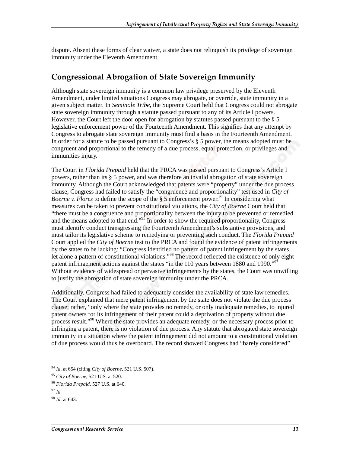dispute. Absent these forms of clear waiver, a state does not relinquish its privilege of sovereign immunity under the Eleventh Amendment.

#### **Congressional Abrogation of State Sovereign Immunity**

Although state sovereign immunity is a common law privilege preserved by the Eleventh Amendment, under limited situations Congress may abrogate, or override, state immunity in a given subject matter. In *Seminole Tribe*, the Supreme Court held that Congress could not abrogate state sovereign immunity through a statute passed pursuant to any of its Article I powers. However, the Court left the door open for abrogation by statutes passed pursuant to the  $\S$  5 legislative enforcement power of the Fourteenth Amendment. This signifies that any attempt by Congress to abrogate state sovereign immunity must find a basis in the Fourteenth Amendment. In order for a statute to be passed pursuant to Congress's § 5 power, the means adopted must be congruent and proportional to the remedy of a due process, equal protection, or privileges and immunities injury.

The Court in *Florida Prepaid* held that the PRCA was passed pursuant to Congress's Article I powers, rather than its § 5 power, and was therefore an invalid abrogation of state sovereign immunity. Although the Court acknowledged that patents were "property" under the due process clause, Congress had failed to satisfy the "congruence and proportionality" test used in *City of Boerne v. Flores* to define the scope of the  $\S$  5 enforcement power.<sup>94</sup> In considering what measures can be taken to prevent constitutional violations, the *City of Boerne* Court held that "there must be a congruence and proportionality between the injury to be prevented or remedied and the means adopted to that end."<sup>95</sup> In order to show the required proportionality, Congress must identify conduct transgressing the Fourteenth Amendment's substantive provisions, and must tailor its legislative scheme to remedying or preventing such conduct. The *Florida Prepaid* Court applied the *City of Boerne* test to the PRCA and found the evidence of patent infringements by the states to be lacking: "Congress identified no pattern of patent infringement by the states, let alone a pattern of constitutional violations."<sup>96</sup> The record reflected the existence of only eight patent infringement actions against the states "in the 110 years between 1880 and 1990."<sup>97</sup> Without evidence of widespread or pervasive infringements by the states, the Court was unwilling to justify the abrogation of state sovereign immunity under the PRCA.

Additionally, Congress had failed to adequately consider the availability of state law remedies. The Court explained that mere patent infringement by the state does not violate the due process clause; rather, "only where the state provides no remedy, or only inadequate remedies, to injured patent owners for its infringement of their patent could a deprivation of property without due process result."<sup>98</sup> Where the state provides an adequate remedy, or the necessary process prior to infringing a patent, there is no violation of due process. Any statute that abrogated state sovereign immunity in a situation where the patent infringement did not amount to a constitutional violation of due process would thus be overboard. The record showed Congress had "barely considered"

j

<sup>94</sup> *Id*. at 654 (citing *City of Boerne*, 521 U.S. 507).

<sup>95</sup> *City of Boerne,* 521 U.S. at 520.

<sup>96</sup> *Florida Prepaid*, 527 U.S. at 640.

<sup>97</sup> *Id.*

<sup>98</sup> *Id*. at 643.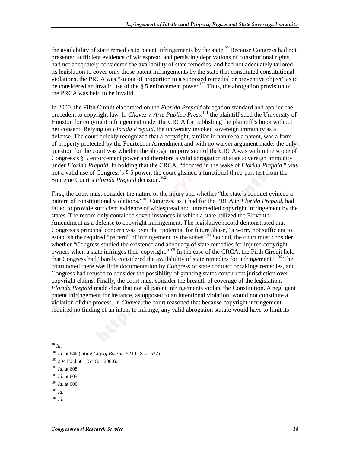the availability of state remedies to patent infringements by the state.<sup>99</sup> Because Congress had not presented sufficient evidence of widespread and persisting deprivations of constitutional rights, had not adequately considered the availability of state remedies, and had not adequately tailored its legislation to cover only those patent infringements by the state that constituted constitutional violations, the PRCA was "so out of proportion to a supposed remedial or preventive object" as to be considered an invalid use of the  $\S$  5 enforcement power.<sup>100</sup> Thus, the abrogation provision of the PRCA was held to be invalid.

In 2000, the Fifth Circuit elaborated on the *Florida Prepaid* abrogation standard and applied the precedent to copyright law. In *Chavez v. Arte Publico Press*,<sup>101</sup>, the plaintiff sued the University of Houston for copyright infringement under the CRCA for publishing the plaintiff's book without her consent. Relying on *Florida Prepaid*, the university invoked sovereign immunity as a defense. The court quickly recognized that a copyright, similar in nature to a patent, was a form of property protected by the Fourteenth Amendment and with no waiver argument made, the only question for the court was whether the abrogation provision of the CRCA was within the scope of Congress's § 5 enforcement power and therefore a valid abrogation of state sovereign immunity under *Florida Prepaid.* In holding that the CRCA, "doomed in the wake of *Florida Prepaid*," was not a valid use of Congress's § 5 power, the court gleaned a functional three-part test from the Supreme Court's *Florida Prepaid* decision.<sup>102</sup>

First, the court must consider the nature of the injury and whether "the state's conduct evinced a pattern of constitutional violations."103 Congress, as it had for the PRCA in *Florida Prepaid*, had failed to provide sufficient evidence of widespread and unremedied copyright infringement by the states. The record only contained seven instances in which a state utilized the Eleventh Amendment as a defense to copyright infringement. The legislative record demonstrated that Congress's principal concern was over the "potential for future abuse," a worry not sufficient to establish the required "pattern" of infringement by the states.<sup>104</sup> Second, the court must consider whether "Congress studied the existence and adequacy of state remedies for injured copyright owners when a state infringes their copyright."105 In the case of the CRCA, the Fifth Circuit held that Congress had "barely considered the availability of state remedies for infringement."106 The court noted there was little documentation by Congress of state contract or takings remedies, and Congress had refused to consider the possibility of granting states concurrent jurisdiction over copyright claims. Finally, the court must consider the breadth of coverage of the legislation. *Florida Prepaid* made clear that not all patent infringements violate the Constitution. A negligent patent infringement for instance, as opposed to an intentional violation, would not constitute a violation of due process. In *Chavez*, the court reasoned that because copyright infringement required no finding of an intent to infringe, any valid abrogation statute would have to limit its

<sup>99</sup> *Id*.

j

<sup>105</sup> *Id*.

<sup>100</sup> *Id*. at 646 (citing *City of Boerne*, 521 U.S. at 532).

 $101$  204 F.3d 601 (5<sup>th</sup> Cir. 2000).

<sup>102</sup> *Id*. at 608.

<sup>103</sup> *Id*. at 605.

<sup>104</sup> *Id*. at 606.

<sup>106</sup> *Id*.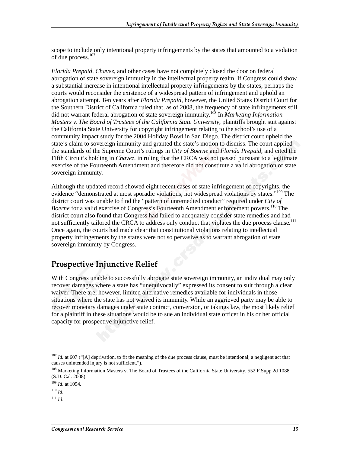scope to include only intentional property infringements by the states that amounted to a violation of due process.<sup>107</sup>

*Florida Prepaid*, *Chavez*, and other cases have not completely closed the door on federal abrogation of state sovereign immunity in the intellectual property realm. If Congress could show a substantial increase in intentional intellectual property infringements by the states, perhaps the courts would reconsider the existence of a widespread pattern of infringement and uphold an abrogation attempt. Ten years after *Florida Prepaid*, however, the United States District Court for the Southern District of California ruled that, as of 2008, the frequency of state infringements still did not warrant federal abrogation of state sovereign immunity.108 In *Marketing Information Masters v. The Board of Trustees of the California State University*, plaintiffs brought suit against the California State University for copyright infringement relating to the school's use of a community impact study for the 2004 Holiday Bowl in San Diego. The district court upheld the state's claim to sovereign immunity and granted the state's motion to dismiss. The court applied the standards of the Supreme Court's rulings in *City of Boerne* and *Florida Prepaid,* and cited the Fifth Circuit's holding in *Chavez,* in ruling that the CRCA was not passed pursuant to a legitimate exercise of the Fourteenth Amendment and therefore did not constitute a valid abrogation of state sovereign immunity.

Although the updated record showed eight recent cases of state infringement of copyrights, the evidence "demonstrated at most sporadic violations, not widespread violations by states."<sup>109</sup> The district court was unable to find the "pattern of unremedied conduct" required under *City of Boerne* for a valid exercise of Congress's Fourteenth Amendment enforcement powers.<sup>110</sup> The district court also found that Congress had failed to adequately consider state remedies and had not sufficiently tailored the CRCA to address only conduct that violates the due process clause.<sup>111</sup> Once again, the courts had made clear that constitutional violations relating to intellectual property infringements by the states were not so pervasive as to warrant abrogation of state sovereign immunity by Congress.

#### Prospective Injunctive Relief

With Congress unable to successfully abrogate state sovereign immunity, an individual may only recover damages where a state has "unequivocally" expressed its consent to suit through a clear waiver. There are, however, limited alternative remedies available for individuals in those situations where the state has not waived its immunity. While an aggrieved party may be able to recover monetary damages under state contract, conversion, or takings law, the most likely relief for a plaintiff in these situations would be to sue an individual state officer in his or her official capacity for prospective injunctive relief.

j

<sup>&</sup>lt;sup>107</sup> *Id.* at 607 ("[A] deprivation, to fit the meaning of the due process clause, must be intentional; a negligent act that causes unintended injury is not sufficient.").

<sup>&</sup>lt;sup>108</sup> Marketing Information Masters v. The Board of Trustees of the California State University, 552 F.Supp.2d 1088 (S.D. Cal. 2008).

<sup>109</sup> *Id*. at 1094.

<sup>110</sup> *Id*.

 $111$  *Id*.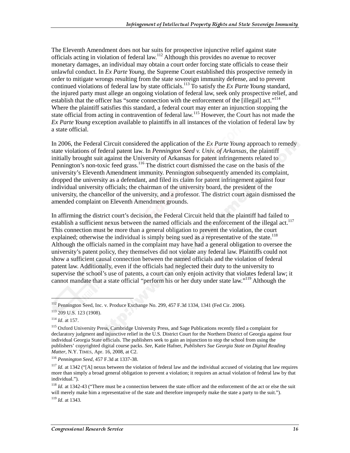The Eleventh Amendment does not bar suits for prospective injunctive relief against state officials acting in violation of federal law.112 Although this provides no avenue to recover monetary damages, an individual may obtain a court order forcing state officials to cease their unlawful conduct. In *Ex Parte Young*, the Supreme Court established this prospective remedy in order to mitigate wrongs resulting from the state sovereign immunity defense, and to prevent continued violations of federal law by state officials.113 To satisfy the *Ex Parte Young* standard, the injured party must allege an ongoing violation of federal law, seek only prospective relief, and establish that the officer has "some connection with the enforcement of the [illegal] act." $114$ Where the plaintiff satisfies this standard, a federal court may enter an injunction stopping the state official from acting in contravention of federal law.<sup>115</sup> However, the Court has not made the *Ex Parte Young* exception available to plaintiffs in all instances of the violation of federal law by a state official.

In 2006, the Federal Circuit considered the application of the *Ex Parte Young* approach to remedy state violations of federal patent law. In *Pennington Seed v. Univ. of Arkansas*, the plaintiff initially brought suit against the University of Arkansas for patent infringements related to Pennington's non-toxic feed grass.<sup>116</sup> The district court dismissed the case on the basis of the university's Eleventh Amendment immunity. Pennington subsequently amended its complaint, dropped the university as a defendant, and filed its claim for patent infringement against four individual university officials; the chairman of the university board, the president of the university, the chancellor of the university, and a professor. The district court again dismissed the amended complaint on Eleventh Amendment grounds.

In affirming the district court's decision, the Federal Circuit held that the plaintiff had failed to establish a sufficient nexus between the named officials and the enforcement of the illegal act.<sup>117</sup> This connection must be more than a general obligation to prevent the violation, the court explained; otherwise the individual is simply being sued as a representative of the state.<sup>118</sup> Although the officials named in the complaint may have had a general obligation to oversee the university's patent policy, they themselves did not violate any federal law. Plaintiffs could not show a sufficient causal connection between the named officials and the violation of federal patent law. Additionally, even if the officials had neglected their duty to the university to supervise the school's use of patents, a court can only enjoin activity that violates federal law; it cannot mandate that a state official "perform his or her duty under state law."119 Although the

<sup>&</sup>lt;sup>112</sup> Pennington Seed, Inc. v. Produce Exchange No. 299, 457 F.3d 1334, 1341 (Fed Cir. 2006).

<sup>113 209</sup> U.S. 123 (1908).

<sup>114</sup> *Id*. at 157.

<sup>&</sup>lt;sup>115</sup> Oxford University Press, Cambridge University Press, and Sage Publications recently filed a complaint for declaratory judgment and injunctive relief in the U.S. District Court for the Northern District of Georgia against four individual Georgia State officials. The publishers seek to gain an injunction to stop the school from using the publishers' copyrighted digital course packs. *See*, Katie Hafner, *Publishers Sue Georgia State on Digital Reading Matter*, N.Y. TIMES, Apr. 16, 2008, at C2.

<sup>116</sup> *Pennington Seed*, 457 F.3d at 1337-38.

<sup>&</sup>lt;sup>117</sup> *Id.* at 1342 ("[A] nexus between the violation of federal law and the individual accused of violating that law requires more than simply a broad general obligation to prevent a violation; it requires an actual violation of federal law by that individual.").

<sup>&</sup>lt;sup>118</sup> *Id.* at 1342-43 ("There must be a connection between the state officer and the enforcement of the act or else the suit will merely make him a representative of the state and therefore improperly make the state a party to the suit."). <sup>119</sup> *Id*. at 1343.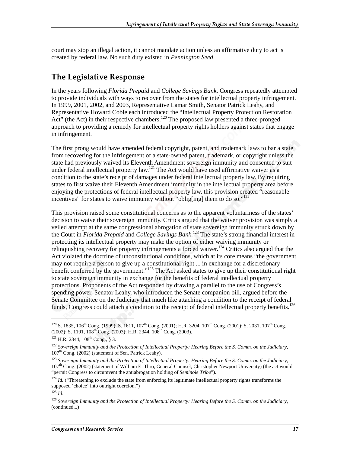court may stop an illegal action, it cannot mandate action unless an affirmative duty to act is created by federal law. No such duty existed in *Pennington Seed*.

#### The Legislative Response

In the years following *Florida Prepaid* and *College Savings Bank*, Congress repeatedly attempted to provide individuals with ways to recover from the states for intellectual property infringement. In 1999, 2001, 2002, and 2003, Representative Lamar Smith, Senator Patrick Leahy, and Representative Howard Coble each introduced the "Intellectual Property Protection Restoration Act" (the Act) in their respective chambers.<sup>120</sup> The proposed law presented a three-pronged approach to providing a remedy for intellectual property rights holders against states that engage in infringement.

The first prong would have amended federal copyright, patent, and trademark laws to bar a state from recovering for the infringement of a state-owned patent, trademark, or copyright unless the state had previously waived its Eleventh Amendment sovereign immunity and consented to suit under federal intellectual property law.<sup>121</sup> The Act would have used affirmative waiver as a condition to the state's receipt of damages under federal intellectual property law. By requiring states to first waive their Eleventh Amendment immunity in the intellectual property area before enjoying the protections of federal intellectual property law, this provision created "reasonable incentives" for states to waive immunity without "oblig[ing] them to do so."<sup>122</sup>

This provision raised some constitutional concerns as to the apparent voluntariness of the states' decision to waive their sovereign immunity. Critics argued that the waiver provision was simply a veiled attempt at the same congressional abrogation of state sovereign immunity struck down by the Court in *Florida Prepaid* and *College Savings Bank*. 123 The state's strong financial interest in protecting its intellectual property may make the option of either waiving immunity or relinguishing recovery for property infringements a forced waiver.<sup>124</sup> Critics also argued that the Act violated the doctrine of unconstitutional conditions, which at its core means "the government may not require a person to give up a constitutional right ... in exchange for a discretionary benefit conferred by the government."<sup>125</sup> The Act asked states to give up their constitutional right to state sovereign immunity in exchange for the benefits of federal intellectual property protections. Proponents of the Act responded by drawing a parallel to the use of Congress's spending power. Senator Leahy, who introduced the Senate companion bill, argued before the Senate Committee on the Judiciary that much like attaching a condition to the receipt of federal funds, Congress could attach a condition to the receipt of federal intellectual property benefits.<sup>126</sup>

l

<sup>&</sup>lt;sup>120</sup> S. 1835, 106<sup>th</sup> Cong. (1999); S. 1611, 107<sup>th</sup> Cong. (2001); H.R. 3204, 107<sup>th</sup> Cong. (2001); S. 2031, 107<sup>th</sup> Cong. (2002); S. 1191, 108<sup>th</sup> Cong. (2003); H.R. 2344, 108<sup>th</sup> Cong. (2003).

 $121$  H.R. 2344,  $108$ <sup>th</sup> Cong., § 3.

<sup>122</sup> *Sovereign Immunity and the Protection of Intellectual Property: Hearing Before the S. Comm. on the Judiciary,* 107<sup>th</sup> Cong. (2002) (statement of Sen. Patrick Leahy).

<sup>123</sup> *Sovereign Immunity and the Protection of Intellectual Property: Hearing Before the S. Comm. on the Judiciary,* 107th Cong. (2002) (statement of William E. Thro, General Counsel, Christopher Newport University) (the act would "permit Congress to circumvent the antiabrogation holding of *Seminole Tribe*").

 $124$  *Id.* ("Threatening to exclude the state from enforcing its legitimate intellectual property rights transforms the supposed 'choice' into outright coercion.")

<sup>125</sup> *Id*.

<sup>126</sup> *Sovereign Immunity and the Protection of Intellectual Property: Hearing Before the S. Comm. on the Judiciary,* (continued...)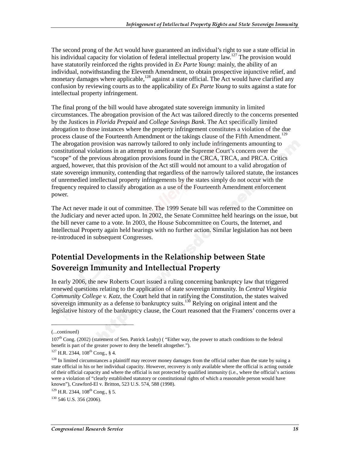The second prong of the Act would have guaranteed an individual's right to sue a state official in his individual capacity for violation of federal intellectual property law.<sup>127</sup> The provision would have statutorily reinforced the rights provided in *Ex Parte Young*: mainly, the ability of an individual, notwithstanding the Eleventh Amendment, to obtain prospective injunctive relief, and monetary damages where applicable,<sup>128</sup> against a state official. The Act would have clarified any confusion by reviewing courts as to the applicability of *Ex Parte Young* to suits against a state for intellectual property infringement.

The final prong of the bill would have abrogated state sovereign immunity in limited circumstances. The abrogation provision of the Act was tailored directly to the concerns presented by the Justices in *Florida Prepaid* and *College Savings Bank*. The Act specifically limited abrogation to those instances where the property infringement constitutes a violation of the due process clause of the Fourteenth Amendment or the takings clause of the Fifth Amendment.<sup>129</sup> The abrogation provision was narrowly tailored to only include infringements amounting to constitutional violations in an attempt to ameliorate the Supreme Court's concern over the "scope" of the previous abrogation provisions found in the CRCA, TRCA, and PRCA. Critics argued, however, that this provision of the Act still would not amount to a valid abrogation of state sovereign immunity, contending that regardless of the narrowly tailored statute, the instances of unremedied intellectual property infringements by the states simply do not occur with the frequency required to classify abrogation as a use of the Fourteenth Amendment enforcement power.

The Act never made it out of committee. The 1999 Senate bill was referred to the Committee on the Judiciary and never acted upon. In 2002, the Senate Committee held hearings on the issue, but the bill never came to a vote. In 2003, the House Subcommittee on Courts, the Internet, and Intellectual Property again held hearings with no further action. Similar legislation has not been re-introduced in subsequent Congresses.

### Potential Developments in the Relationship between State Sovereign Immunity and Intellectual Property

In early 2006, the new Roberts Court issued a ruling concerning bankruptcy law that triggered renewed questions relating to the application of state sovereign immunity. In *Central Virginia Community College v. Katz*, the Court held that in ratifying the Constitution, the states waived sovereign immunity as a defense to bankruptcy suits.<sup>130</sup> Relying on original intent and the legislative history of the bankruptcy clause, the Court reasoned that the Framers' concerns over a

<sup>(...</sup>continued)

 $107<sup>th</sup>$  Cong. (2002) (statement of Sen. Patrick Leahy) ("Either way, the power to attach conditions to the federal benefit is part of the greater power to deny the benefit altogether.").

 $127$  H.R. 2344,  $108$ <sup>th</sup> Cong., § 4.

 $128$  In limited circumstances a plaintiff may recover money damages from the official rather than the state by suing a state official in his or her individual capacity. However, recovery is only available where the official is acting outside of their official capacity and where the official is not protected by qualified immunity (i.e., where the official's actions were a violation of "clearly established statutory or constitutional rights of which a reasonable person would have known"), Crawford-El v. Britton, 523 U.S. 574, 588 (1998).

 $129$  H.R. 2344,  $108$ <sup>th</sup> Cong., § 5.

 $130$  546 U.S. 356 (2006).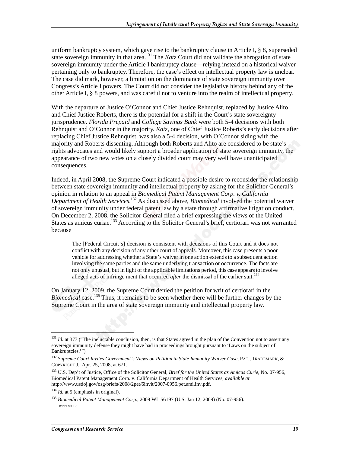uniform bankruptcy system, which gave rise to the bankruptcy clause in Article I, § 8, superseded state sovereign immunity in that area.<sup>131</sup> The *Katz* Court did not validate the abrogation of state sovereign immunity under the Article I bankruptcy clause—relying instead on a historical waiver pertaining only to bankruptcy. Therefore, the case's effect on intellectual property law is unclear. The case did mark, however, a limitation on the dominance of state sovereign immunity over Congress's Article I powers. The Court did not consider the legislative history behind any of the other Article I, § 8 powers, and was careful not to venture into the realm of intellectual property.

With the departure of Justice O'Connor and Chief Justice Rehnquist, replaced by Justice Alito and Chief Justice Roberts, there is the potential for a shift in the Court's state sovereignty jurisprudence. *Florida Prepaid* and *College Savings Bank* were both 5-4 decisions with both Rehnquist and O'Connor in the majority. *Katz,* one of Chief Justice Roberts's early decisions after replacing Chief Justice Rehnquist*,* was also a 5-4 decision, with O'Connor siding with the majority and Roberts dissenting. Although both Roberts and Alito are considered to be state's rights advocates and would likely support a broader application of state sovereign immunity, the appearance of two new votes on a closely divided court may very well have unanticipated consequences.

Indeed, in April 2008, the Supreme Court indicated a possible desire to reconsider the relationship between state sovereign immunity and intellectual property by asking for the Solicitor General's opinion in relation to an appeal in *Biomedical Patent Management Corp. v. California Department of Health Services*. 132 As discussed above, *Biomedical* involved the potential waiver of sovereign immunity under federal patent law by a state through affirmative litigation conduct. On December 2, 2008, the Solicitor General filed a brief expressing the views of the United States as amicus curiae.<sup>133</sup> According to the Solicitor General's brief, certiorari was not warranted because

The [Federal Circuit's] decision is consistent with decisions of this Court and it does not conflict with any decision of any other court of appeals. Moreover, this case presents a poor vehicle for addressing whether a State's waiver in one action extends to a subsequent action involving the same parties and the same underlying transaction or occurrence. The facts are not only unusual, but in light of the applicable limitations period, this case appears to involve alleged acts of infringe ment that occurred *after* the dismissal of the earlier suit.<sup>134</sup>

On January 12, 2009, the Supreme Court denied the petition for writ of certiorari in the *Biomedical* case.<sup>135</sup> Thus, it remains to be seen whether there will be further changes by the Supreme Court in the area of state sovereign immunity and intellectual property law.

j

<sup>&</sup>lt;sup>131</sup> *Id.* at 377 ("The ineluctable conclusion, then, is that States agreed in the plan of the Convention not to assert any sovereign immunity defense they might have had in proceedings brought pursuant to 'Laws on the subject of Bankruptcies.'")

<sup>132</sup> *Supreme Court Invites Government's Views on Petition in State Immunity Waiver Case*, PAT., TRADEMARK, & COPYRIGHT J., Apr. 25, 2008, at 671.

<sup>133</sup> U.S. Dep't of Justice, Office of the Solicitor General, *Brief for the United States as Amicus Curie,* No. 07-956, Biomedical Patent Management Corp. v. California Department of Health Services, *available at*  http://www.usdoj.gov/osg/briefs/2008/2pet/6invit/2007-0956.pet.ami.inv.pdf.

<sup>&</sup>lt;sup>134</sup> *Id.* at 5 (emphasis in original).

<sup>135</sup> *Biomedical Patent Management Corp.*, 2009 WL 56197 (U.S. Jan 12, 2009) (No. 07-956). c11173008